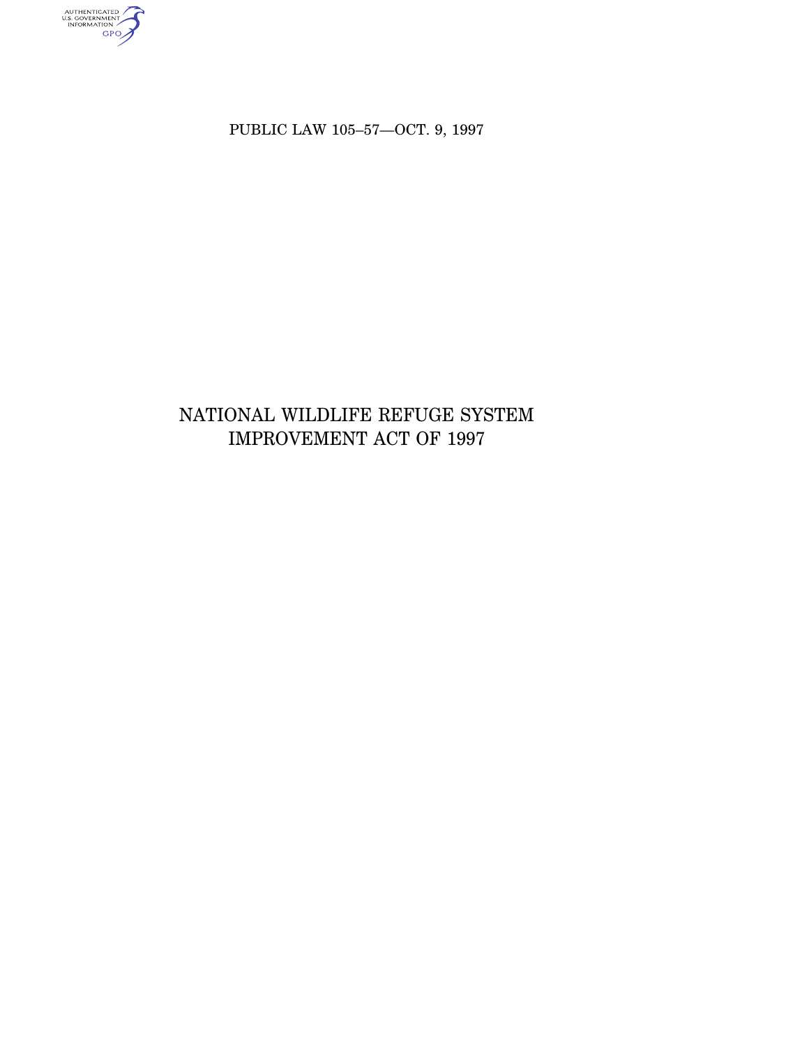AUTHENTICATED<br>U.S. GOVERNMENT<br>INFORMATION<br>GPO

PUBLIC LAW 105–57—OCT. 9, 1997

# NATIONAL WILDLIFE REFUGE SYSTEM IMPROVEMENT ACT OF 1997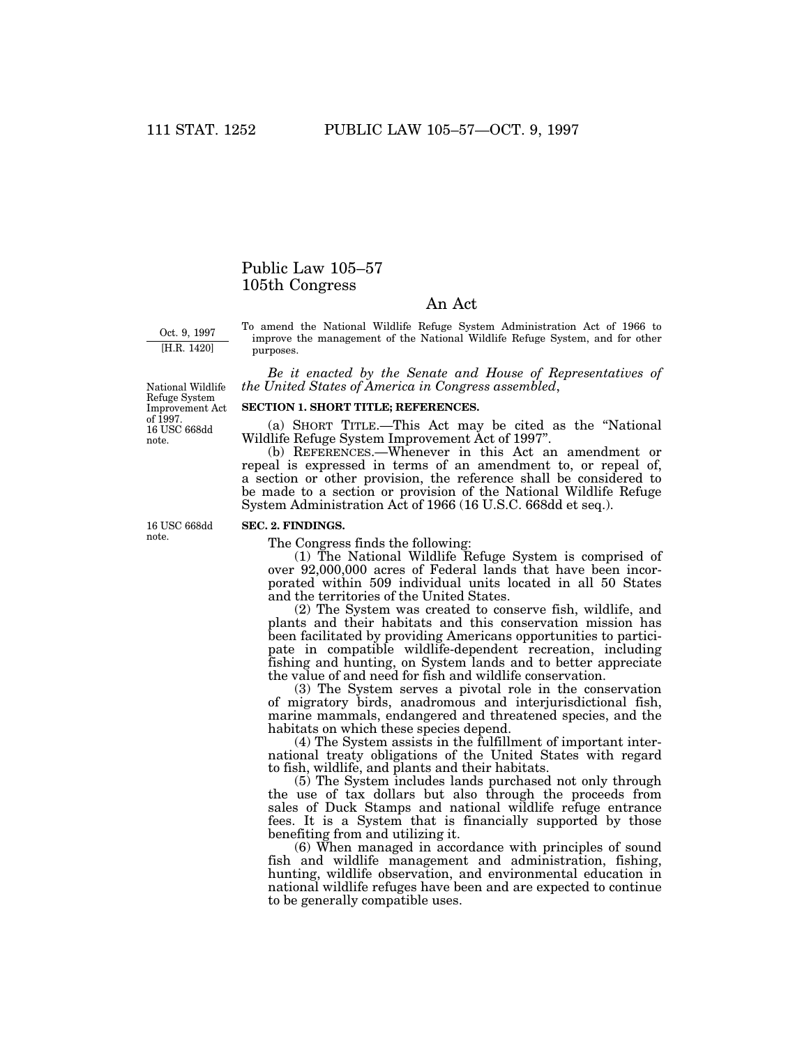# Public Law 105–57 105th Congress

# An Act

Oct. 9, 1997 [H.R. 1420] To amend the National Wildlife Refuge System Administration Act of 1966 to improve the management of the National Wildlife Refuge System, and for other purposes.

*Be it enacted by the Senate and House of Representatives of the United States of America in Congress assembled*,

16 USC 668dd note. National Wildlife Refuge System Improvement Act of 1997.

## **SECTION 1. SHORT TITLE; REFERENCES.**

(a) SHORT TITLE.—This Act may be cited as the ''National Wildlife Refuge System Improvement Act of 1997''.

(b) REFERENCES.—Whenever in this Act an amendment or repeal is expressed in terms of an amendment to, or repeal of, a section or other provision, the reference shall be considered to be made to a section or provision of the National Wildlife Refuge System Administration Act of 1966 (16 U.S.C. 668dd et seq.).

16 USC 668dd note.

# **SEC. 2. FINDINGS.**

The Congress finds the following:

(1) The National Wildlife Refuge System is comprised of over 92,000,000 acres of Federal lands that have been incorporated within 509 individual units located in all 50 States and the territories of the United States.

(2) The System was created to conserve fish, wildlife, and plants and their habitats and this conservation mission has been facilitated by providing Americans opportunities to participate in compatible wildlife-dependent recreation, including fishing and hunting, on System lands and to better appreciate the value of and need for fish and wildlife conservation.

(3) The System serves a pivotal role in the conservation of migratory birds, anadromous and interjurisdictional fish, marine mammals, endangered and threatened species, and the habitats on which these species depend.

(4) The System assists in the fulfillment of important international treaty obligations of the United States with regard to fish, wildlife, and plants and their habitats.

(5) The System includes lands purchased not only through the use of tax dollars but also through the proceeds from sales of Duck Stamps and national wildlife refuge entrance fees. It is a System that is financially supported by those benefiting from and utilizing it.

(6) When managed in accordance with principles of sound fish and wildlife management and administration, fishing, hunting, wildlife observation, and environmental education in national wildlife refuges have been and are expected to continue to be generally compatible uses.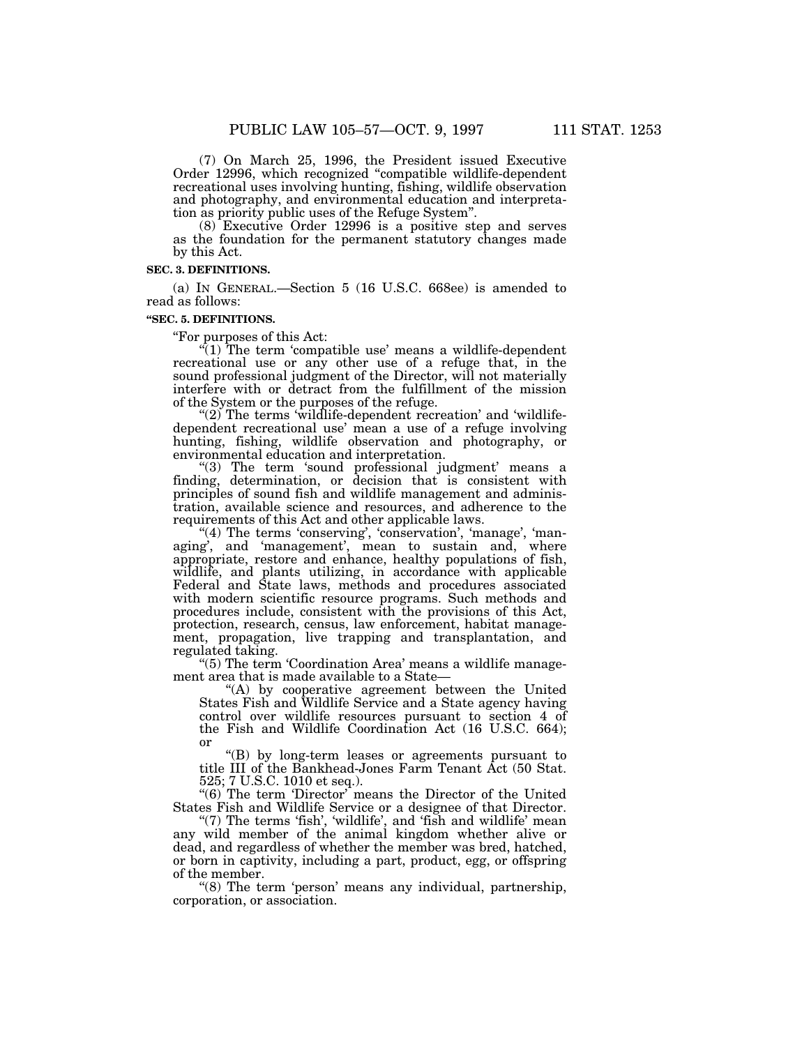(7) On March 25, 1996, the President issued Executive Order 12996, which recognized ''compatible wildlife-dependent recreational uses involving hunting, fishing, wildlife observation and photography, and environmental education and interpretation as priority public uses of the Refuge System''.

(8) Executive Order 12996 is a positive step and serves as the foundation for the permanent statutory changes made by this Act.

#### **SEC. 3. DEFINITIONS.**

(a) IN GENERAL.—Section 5 (16 U.S.C. 668ee) is amended to read as follows:

#### **''SEC. 5. DEFINITIONS.**

''For purposes of this Act:

 $\hat{f}(1)$  The term 'compatible use' means a wildlife-dependent recreational use or any other use of a refuge that, in the sound professional judgment of the Director, will not materially interfere with or detract from the fulfillment of the mission of the System or the purposes of the refuge.

" $(2)$  The terms 'wildlife-dependent recreation' and 'wildlifedependent recreational use' mean a use of a refuge involving hunting, fishing, wildlife observation and photography, or environmental education and interpretation.

"(3) The term 'sound professional judgment' means a finding, determination, or decision that is consistent with principles of sound fish and wildlife management and administration, available science and resources, and adherence to the requirements of this Act and other applicable laws.

"(4) The terms 'conserving', 'conservation', 'manage', 'managing', and 'management', mean to sustain and, where appropriate, restore and enhance, healthy populations of fish, wildlife, and plants utilizing, in accordance with applicable Federal and State laws, methods and procedures associated with modern scientific resource programs. Such methods and procedures include, consistent with the provisions of this Act, protection, research, census, law enforcement, habitat management, propagation, live trapping and transplantation, and regulated taking.

''(5) The term 'Coordination Area' means a wildlife management area that is made available to a State—

''(A) by cooperative agreement between the United States Fish and Wildlife Service and a State agency having control over wildlife resources pursuant to section 4 of the Fish and Wildlife Coordination Act (16 U.S.C. 664); or

''(B) by long-term leases or agreements pursuant to title III of the Bankhead-Jones Farm Tenant Act (50 Stat. 525; 7 U.S.C. 1010 et seq.).

''(6) The term 'Director' means the Director of the United States Fish and Wildlife Service or a designee of that Director.

''(7) The terms 'fish', 'wildlife', and 'fish and wildlife' mean any wild member of the animal kingdom whether alive or dead, and regardless of whether the member was bred, hatched, or born in captivity, including a part, product, egg, or offspring of the member.

''(8) The term 'person' means any individual, partnership, corporation, or association.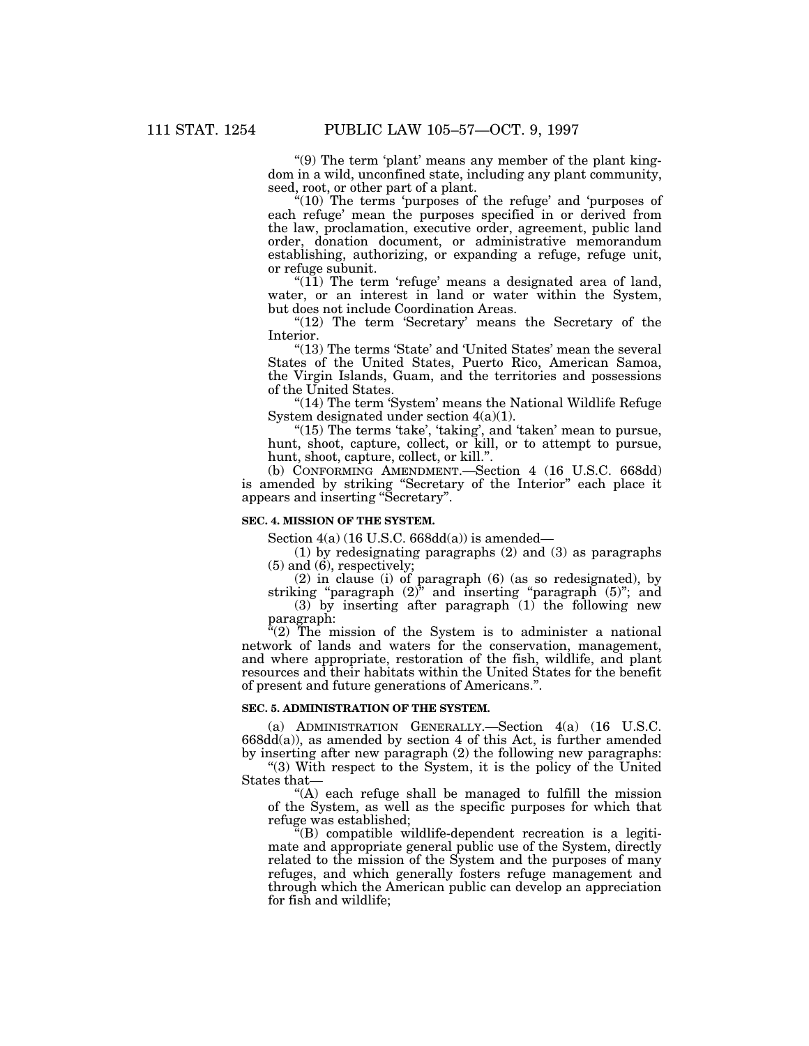"(9) The term 'plant' means any member of the plant kingdom in a wild, unconfined state, including any plant community, seed, root, or other part of a plant.

''(10) The terms 'purposes of the refuge' and 'purposes of each refuge' mean the purposes specified in or derived from the law, proclamation, executive order, agreement, public land order, donation document, or administrative memorandum establishing, authorizing, or expanding a refuge, refuge unit, or refuge subunit.

" $(11)$  The term 'refuge' means a designated area of land, water, or an interest in land or water within the System, but does not include Coordination Areas.

" $(12)$  The term 'Secretary' means the Secretary of the Interior.

''(13) The terms 'State' and 'United States' mean the several States of the United States, Puerto Rico, American Samoa, the Virgin Islands, Guam, and the territories and possessions of the United States.

"(14) The term 'System' means the National Wildlife Refuge System designated under section 4(a)(1).

"(15) The terms 'take', 'taking', and 'taken' mean to pursue, hunt, shoot, capture, collect, or kill, or to attempt to pursue, hunt, shoot, capture, collect, or kill.''.

(b) CONFORMING AMENDMENT.—Section 4 (16 U.S.C. 668dd) is amended by striking ''Secretary of the Interior'' each place it appears and inserting ''Secretary''.

## **SEC. 4. MISSION OF THE SYSTEM.**

Section  $4(a)$  (16 U.S.C. 668dd(a)) is amended—

(1) by redesignating paragraphs (2) and (3) as paragraphs  $(5)$  and  $(6)$ , respectively;

(2) in clause (i) of paragraph (6) (as so redesignated), by

striking "paragraph (2)" and inserting "paragraph (5)"; and (3) by inserting after paragraph (1) the following new paragraph:

 $i(2)$  The mission of the System is to administer a national network of lands and waters for the conservation, management, and where appropriate, restoration of the fish, wildlife, and plant resources and their habitats within the United States for the benefit of present and future generations of Americans.''.

#### **SEC. 5. ADMINISTRATION OF THE SYSTEM.**

(a) ADMINISTRATION GENERALLY.—Section 4(a) (16 U.S.C. 668dd(a)), as amended by section 4 of this Act, is further amended by inserting after new paragraph (2) the following new paragraphs:

''(3) With respect to the System, it is the policy of the United States that—

''(A) each refuge shall be managed to fulfill the mission of the System, as well as the specific purposes for which that refuge was established;

 $\tilde{H}(B)$  compatible wildlife-dependent recreation is a legitimate and appropriate general public use of the System, directly related to the mission of the System and the purposes of many refuges, and which generally fosters refuge management and through which the American public can develop an appreciation for fish and wildlife;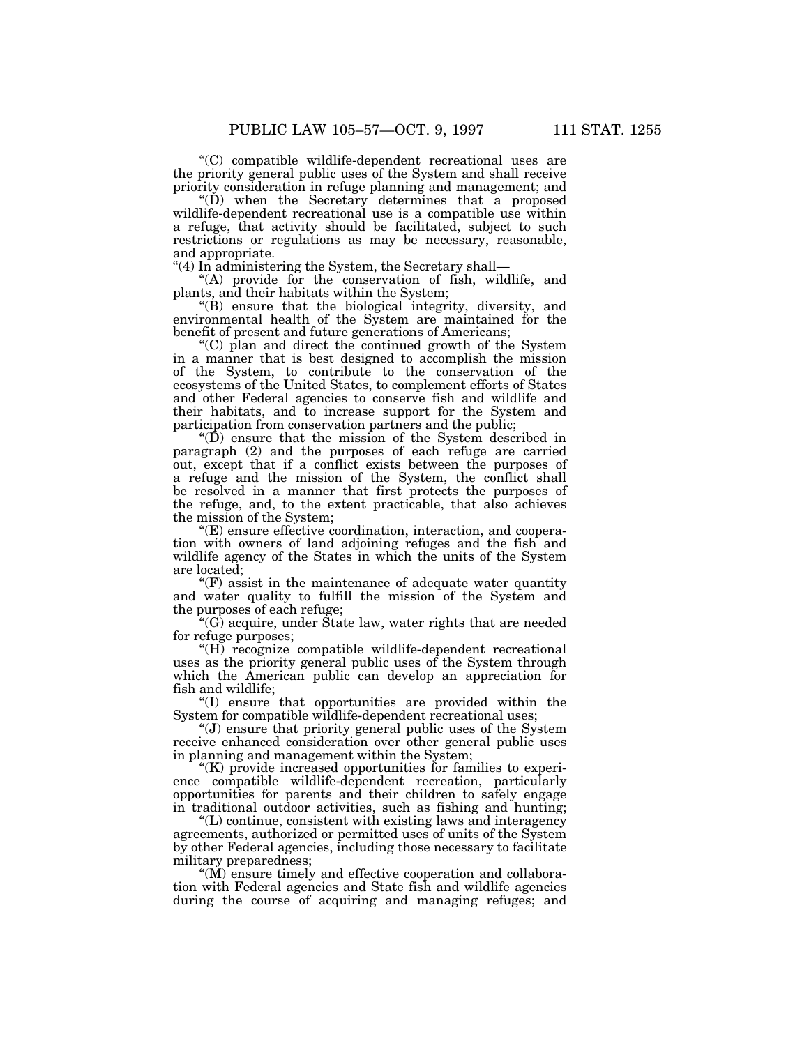''(C) compatible wildlife-dependent recreational uses are the priority general public uses of the System and shall receive priority consideration in refuge planning and management; and

''(D) when the Secretary determines that a proposed wildlife-dependent recreational use is a compatible use within a refuge, that activity should be facilitated, subject to such restrictions or regulations as may be necessary, reasonable, and appropriate.

''(4) In administering the System, the Secretary shall—

''(A) provide for the conservation of fish, wildlife, and plants, and their habitats within the System;

''(B) ensure that the biological integrity, diversity, and environmental health of the System are maintained for the benefit of present and future generations of Americans;

''(C) plan and direct the continued growth of the System in a manner that is best designed to accomplish the mission of the System, to contribute to the conservation of the ecosystems of the United States, to complement efforts of States and other Federal agencies to conserve fish and wildlife and their habitats, and to increase support for the System and participation from conservation partners and the public;

''(D) ensure that the mission of the System described in paragraph (2) and the purposes of each refuge are carried out, except that if a conflict exists between the purposes of a refuge and the mission of the System, the conflict shall be resolved in a manner that first protects the purposes of the refuge, and, to the extent practicable, that also achieves the mission of the System;

''(E) ensure effective coordination, interaction, and cooperation with owners of land adjoining refuges and the fish and wildlife agency of the States in which the units of the System are located;

 $F(F)$  assist in the maintenance of adequate water quantity and water quality to fulfill the mission of the System and the purposes of each refuge;

''(G) acquire, under State law, water rights that are needed for refuge purposes;

''(H) recognize compatible wildlife-dependent recreational uses as the priority general public uses of the System through which the American public can develop an appreciation for fish and wildlife;

''(I) ensure that opportunities are provided within the System for compatible wildlife-dependent recreational uses;

''(J) ensure that priority general public uses of the System receive enhanced consideration over other general public uses in planning and management within the System;

 $K(W)$  provide increased opportunities for families to experience compatible wildlife-dependent recreation, particularly opportunities for parents and their children to safely engage in traditional outdoor activities, such as fishing and hunting;

 $H(L)$  continue, consistent with existing laws and interagency agreements, authorized or permitted uses of units of the System by other Federal agencies, including those necessary to facilitate military preparedness;

"(M) ensure timely and effective cooperation and collaboration with Federal agencies and State fish and wildlife agencies during the course of acquiring and managing refuges; and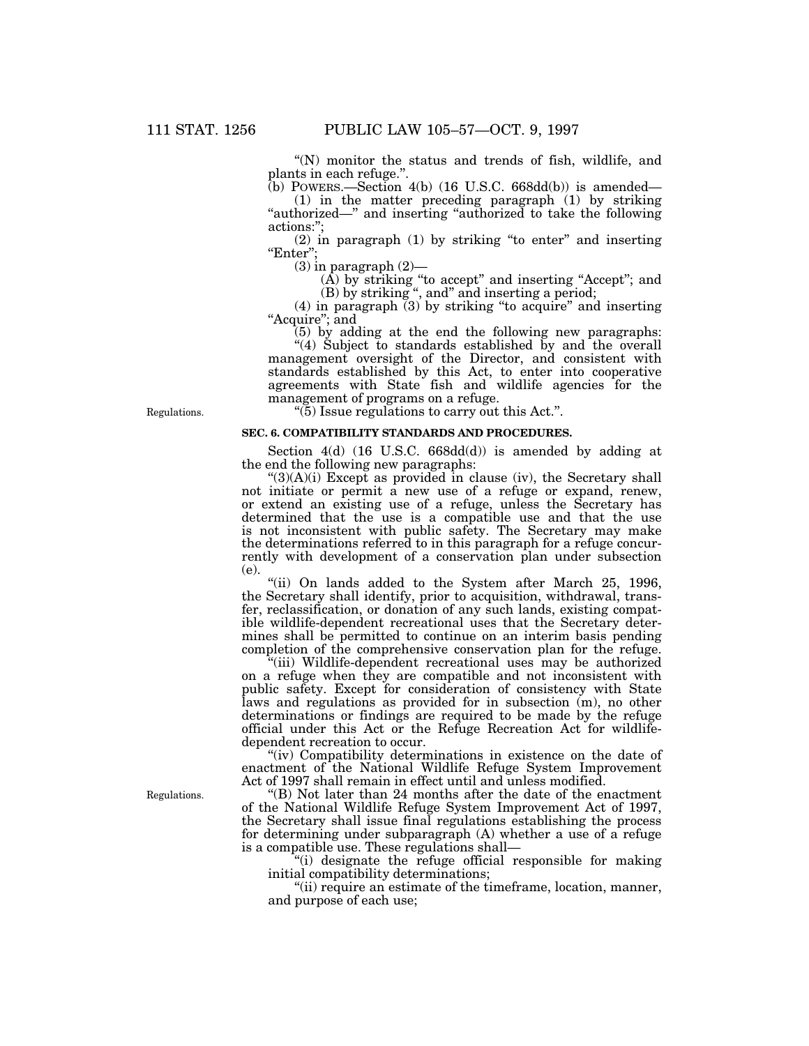''(N) monitor the status and trends of fish, wildlife, and plants in each refuge.''.

 $(b)$  POWERS.—Section 4(b) (16 U.S.C. 668dd(b)) is amended—

(1) in the matter preceding paragraph (1) by striking ''authorized—'' and inserting ''authorized to take the following actions:'';

(2) in paragraph (1) by striking ''to enter'' and inserting "Enter";

 $(3)$  in paragraph  $(2)$ —

(A) by striking ''to accept'' and inserting ''Accept''; and (B) by striking '', and'' and inserting a period;

(4) in paragraph (3) by striking ''to acquire'' and inserting "Acquire"; and

(5) by adding at the end the following new paragraphs: "(4) Subject to standards established by and the overall management oversight of the Director, and consistent with standards established by this Act, to enter into cooperative agreements with State fish and wildlife agencies for the management of programs on a refuge.

 $\degree$ (5) Issue regulations to carry out this Act.".

#### **SEC. 6. COMPATIBILITY STANDARDS AND PROCEDURES.**

Section 4(d) (16 U.S.C. 668dd(d)) is amended by adding at the end the following new paragraphs:

" $(3)(A)(i)$  Except as provided in clause (iv), the Secretary shall not initiate or permit a new use of a refuge or expand, renew, or extend an existing use of a refuge, unless the Secretary has determined that the use is a compatible use and that the use is not inconsistent with public safety. The Secretary may make the determinations referred to in this paragraph for a refuge concurrently with development of a conservation plan under subsection (e).

"(ii) On lands added to the System after March 25, 1996, the Secretary shall identify, prior to acquisition, withdrawal, transfer, reclassification, or donation of any such lands, existing compatible wildlife-dependent recreational uses that the Secretary determines shall be permitted to continue on an interim basis pending completion of the comprehensive conservation plan for the refuge.

"(iii) Wildlife-dependent recreational uses may be authorized on a refuge when they are compatible and not inconsistent with public safety. Except for consideration of consistency with State laws and regulations as provided for in subsection (m), no other determinations or findings are required to be made by the refuge official under this Act or the Refuge Recreation Act for wildlifedependent recreation to occur.

"(iv) Compatibility determinations in existence on the date of enactment of the National Wildlife Refuge System Improvement Act of 1997 shall remain in effect until and unless modified.

''(B) Not later than 24 months after the date of the enactment of the National Wildlife Refuge System Improvement Act of 1997, the Secretary shall issue final regulations establishing the process for determining under subparagraph (A) whether a use of a refuge is a compatible use. These regulations shall—

''(i) designate the refuge official responsible for making initial compatibility determinations;

''(ii) require an estimate of the timeframe, location, manner, and purpose of each use;

Regulations.

Regulations.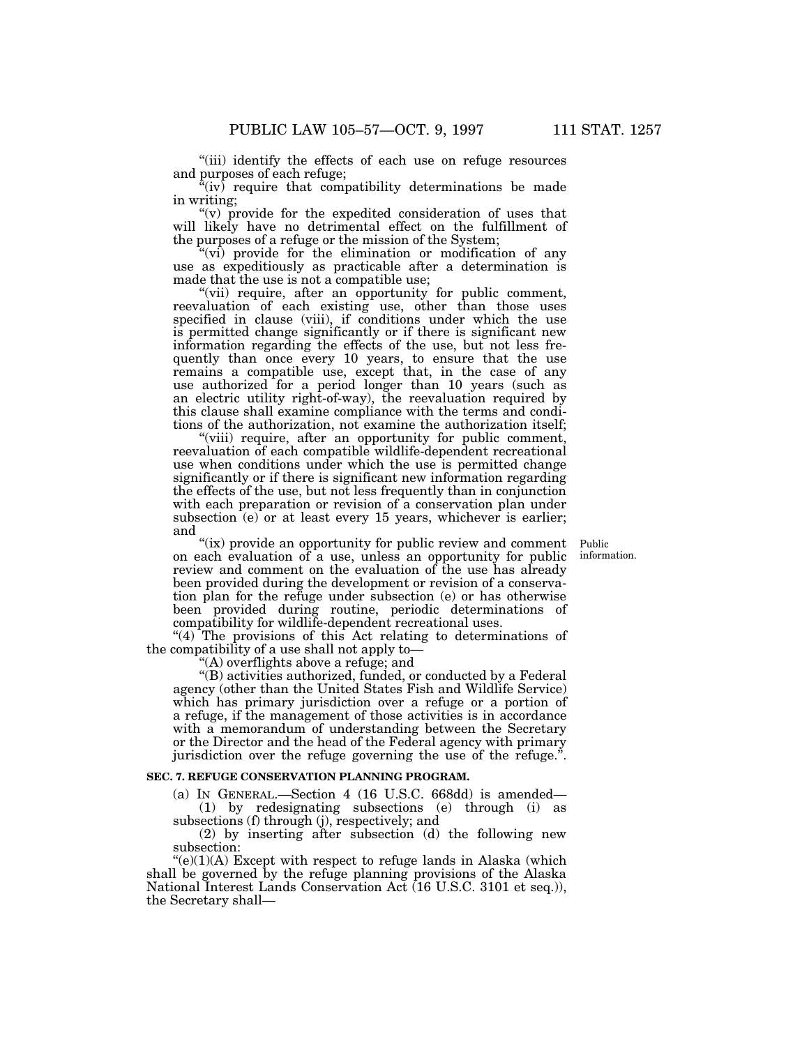''(iii) identify the effects of each use on refuge resources and purposes of each refuge;

 $\sqrt[n]{i}$  require that compatibility determinations be made in writing;

 $(y)$  provide for the expedited consideration of uses that will likely have no detrimental effect on the fulfillment of the purposes of a refuge or the mission of the System;

"(vi) provide for the elimination or modification of any use as expeditiously as practicable after a determination is made that the use is not a compatible use;

"(vii) require, after an opportunity for public comment, reevaluation of each existing use, other than those uses specified in clause (viii), if conditions under which the use is permitted change significantly or if there is significant new information regarding the effects of the use, but not less frequently than once every 10 years, to ensure that the use remains a compatible use, except that, in the case of any use authorized for a period longer than 10 years (such as an electric utility right-of-way), the reevaluation required by this clause shall examine compliance with the terms and conditions of the authorization, not examine the authorization itself;

"(viii) require, after an opportunity for public comment, reevaluation of each compatible wildlife-dependent recreational use when conditions under which the use is permitted change significantly or if there is significant new information regarding the effects of the use, but not less frequently than in conjunction with each preparation or revision of a conservation plan under subsection (e) or at least every 15 years, whichever is earlier; and

> Public information.

"(ix) provide an opportunity for public review and comment on each evaluation of a use, unless an opportunity for public review and comment on the evaluation of the use has already been provided during the development or revision of a conservation plan for the refuge under subsection (e) or has otherwise been provided during routine, periodic determinations of compatibility for wildlife-dependent recreational uses.

"(4) The provisions of this Act relating to determinations of the compatibility of a use shall not apply to—

(A) overflights above a refuge; and

''(B) activities authorized, funded, or conducted by a Federal agency (other than the United States Fish and Wildlife Service) which has primary jurisdiction over a refuge or a portion of a refuge, if the management of those activities is in accordance with a memorandum of understanding between the Secretary or the Director and the head of the Federal agency with primary jurisdiction over the refuge governing the use of the refuge.''.

#### **SEC. 7. REFUGE CONSERVATION PLANNING PROGRAM.**

(a) IN GENERAL.—Section 4 (16 U.S.C. 668dd) is amended— (1) by redesignating subsections (e) through (i) as subsections (f) through (j), respectively; and

(2) by inserting after subsection (d) the following new subsection:

 $(e)(1)(A)$  Except with respect to refuge lands in Alaska (which shall be governed by the refuge planning provisions of the Alaska National Interest Lands Conservation Act (16 U.S.C. 3101 et seq.)), the Secretary shall—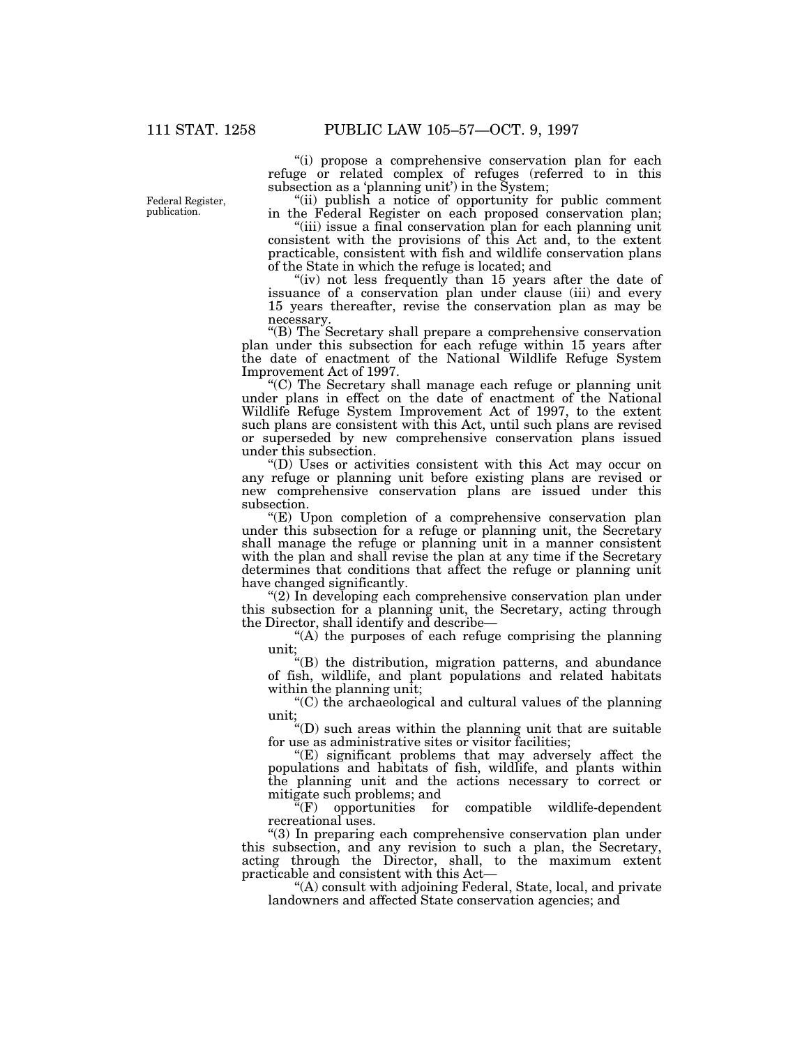''(i) propose a comprehensive conservation plan for each refuge or related complex of refuges (referred to in this subsection as a 'planning unit') in the System;

''(ii) publish a notice of opportunity for public comment in the Federal Register on each proposed conservation plan;

''(iii) issue a final conservation plan for each planning unit consistent with the provisions of this Act and, to the extent practicable, consistent with fish and wildlife conservation plans of the State in which the refuge is located; and

"(iv) not less frequently than 15 years after the date of issuance of a conservation plan under clause (iii) and every 15 years thereafter, revise the conservation plan as may be necessary.

''(B) The Secretary shall prepare a comprehensive conservation plan under this subsection for each refuge within 15 years after the date of enactment of the National Wildlife Refuge System Improvement Act of 1997.

''(C) The Secretary shall manage each refuge or planning unit under plans in effect on the date of enactment of the National Wildlife Refuge System Improvement Act of 1997, to the extent such plans are consistent with this Act, until such plans are revised or superseded by new comprehensive conservation plans issued under this subsection.

''(D) Uses or activities consistent with this Act may occur on any refuge or planning unit before existing plans are revised or new comprehensive conservation plans are issued under this subsection.

''(E) Upon completion of a comprehensive conservation plan under this subsection for a refuge or planning unit, the Secretary shall manage the refuge or planning unit in a manner consistent with the plan and shall revise the plan at any time if the Secretary determines that conditions that affect the refuge or planning unit have changed significantly.

"(2) In developing each comprehensive conservation plan under this subsection for a planning unit, the Secretary, acting through the Director, shall identify and describe—

"(A) the purposes of each refuge comprising the planning unit;

''(B) the distribution, migration patterns, and abundance of fish, wildlife, and plant populations and related habitats within the planning unit;

''(C) the archaeological and cultural values of the planning unit;

''(D) such areas within the planning unit that are suitable for use as administrative sites or visitor facilities;

''(E) significant problems that may adversely affect the populations and habitats of fish, wildlife, and plants within the planning unit and the actions necessary to correct or mitigate such problems; and

''(F) opportunities for compatible wildlife-dependent recreational uses.

"(3) In preparing each comprehensive conservation plan under this subsection, and any revision to such a plan, the Secretary, acting through the Director, shall, to the maximum extent practicable and consistent with this Act—

''(A) consult with adjoining Federal, State, local, and private landowners and affected State conservation agencies; and

Federal Register, publication.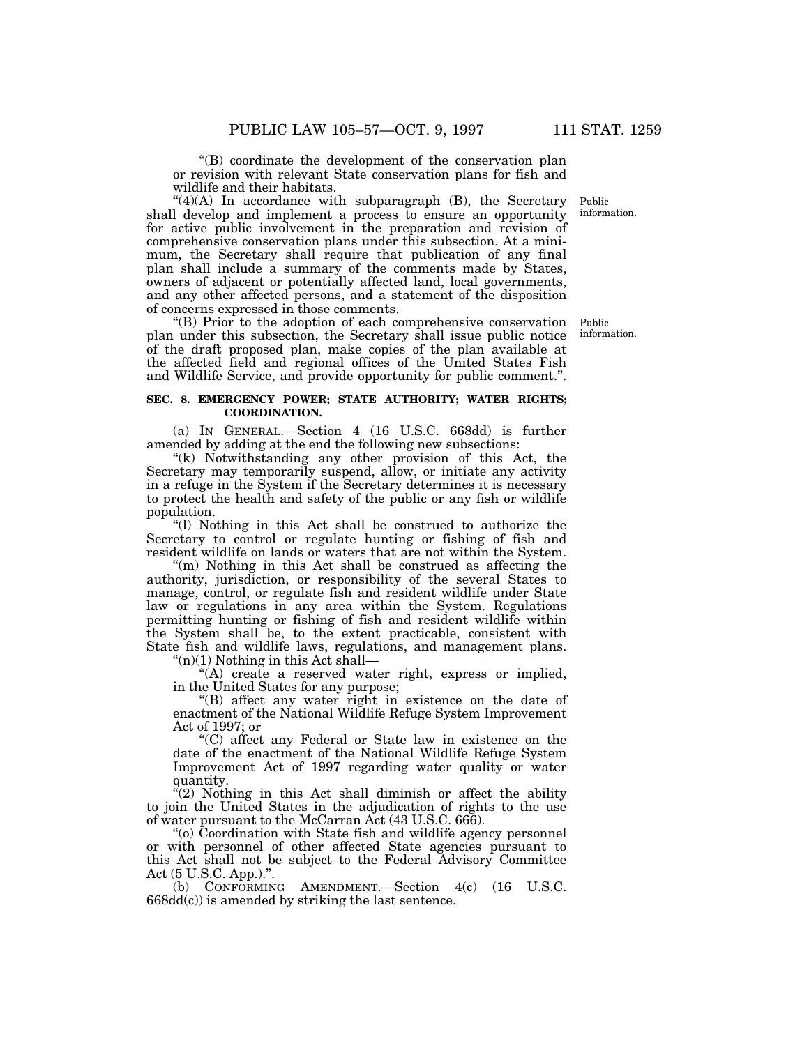''(B) coordinate the development of the conservation plan or revision with relevant State conservation plans for fish and wildlife and their habitats.

 $"(4)(A)$  In accordance with subparagraph  $(B)$ , the Secretary shall develop and implement a process to ensure an opportunity for active public involvement in the preparation and revision of comprehensive conservation plans under this subsection. At a minimum, the Secretary shall require that publication of any final plan shall include a summary of the comments made by States, owners of adjacent or potentially affected land, local governments, and any other affected persons, and a statement of the disposition of concerns expressed in those comments.

''(B) Prior to the adoption of each comprehensive conservation plan under this subsection, the Secretary shall issue public notice of the draft proposed plan, make copies of the plan available at the affected field and regional offices of the United States Fish and Wildlife Service, and provide opportunity for public comment.''.

#### **SEC. 8. EMERGENCY POWER; STATE AUTHORITY; WATER RIGHTS; COORDINATION.**

(a) IN GENERAL.—Section 4 (16 U.S.C. 668dd) is further amended by adding at the end the following new subsections:

"(k) Notwithstanding any other provision of this Act, the Secretary may temporarily suspend, allow, or initiate any activity in a refuge in the System if the Secretary determines it is necessary to protect the health and safety of the public or any fish or wildlife population.

''(l) Nothing in this Act shall be construed to authorize the Secretary to control or regulate hunting or fishing of fish and resident wildlife on lands or waters that are not within the System.

"(m) Nothing in this Act shall be construed as affecting the authority, jurisdiction, or responsibility of the several States to manage, control, or regulate fish and resident wildlife under State law or regulations in any area within the System. Regulations permitting hunting or fishing of fish and resident wildlife within the System shall be, to the extent practicable, consistent with State fish and wildlife laws, regulations, and management plans.  $\ln(1)$  Nothing in this Act shall—

"(A) create a reserved water right, express or implied, in the United States for any purpose;

''(B) affect any water right in existence on the date of enactment of the National Wildlife Refuge System Improvement Act of 1997; or

''(C) affect any Federal or State law in existence on the date of the enactment of the National Wildlife Refuge System Improvement Act of 1997 regarding water quality or water quantity.

''(2) Nothing in this Act shall diminish or affect the ability to join the United States in the adjudication of rights to the use of water pursuant to the McCarran Act (43 U.S.C. 666).

''(o) Coordination with State fish and wildlife agency personnel or with personnel of other affected State agencies pursuant to this Act shall not be subject to the Federal Advisory Committee Act (5 U.S.C. App.).''.

(b) CONFORMING AMENDMENT.—Section 4(c) (16 U.S.C.  $668d\ddot{d}(c)$  is amended by striking the last sentence.

Public information.

Public information.